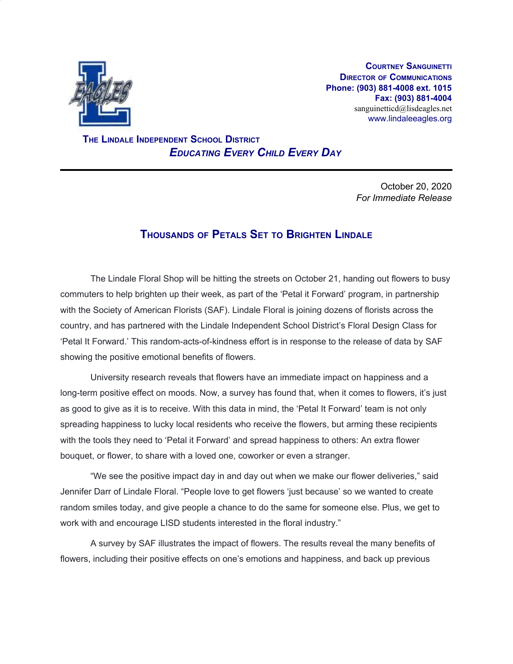

**COURTNEY SANGUINETTI DIRECTOR OF COMMUNICATIONS Phone: (903) 881-4008 ext. 1015 Fax: (903) 881-4004** sanguinetticd@lisdeagles.net www.lindaleeagles.org

 **THE LINDALE INDEPENDENT SCHOOL DISTRICT** *EDUCATING EVERY CHILD EVERY DAY*

> October 20, 2020 *For Immediate Release*

## **THOUSANDS OF PETALS SET TO BRIGHTEN LINDALE**

The Lindale Floral Shop will be hitting the streets on October 21, handing out flowers to busy commuters to help brighten up their week, as part of the 'Petal it Forward' program, in partnership with the Society of American Florists (SAF). Lindale Floral is joining dozens of florists across the country, and has partnered with the Lindale Independent School District's Floral Design Class for 'Petal It Forward.' This random-acts-of-kindness effort is in response to the release of data by SAF showing the positive emotional benefits of flowers.

University research reveals that flowers have an immediate impact on happiness and a long-term positive effect on moods. Now, a survey has found that, when it comes to flowers, it's just as good to give as it is to receive. With this data in mind, the 'Petal It Forward' team is not only spreading happiness to lucky local residents who receive the flowers, but arming these recipients with the tools they need to 'Petal it Forward' and spread happiness to others: An extra flower bouquet, or flower, to share with a loved one, coworker or even a stranger.

"We see the positive impact day in and day out when we make our flower deliveries," said Jennifer Darr of Lindale Floral. "People love to get flowers 'just because' so we wanted to create random smiles today, and give people a chance to do the same for someone else. Plus, we get to work with and encourage LISD students interested in the floral industry."

A survey by SAF illustrates the impact of flowers. The results reveal the many benefits of flowers, including their positive effects on one's emotions and happiness, and back up previous